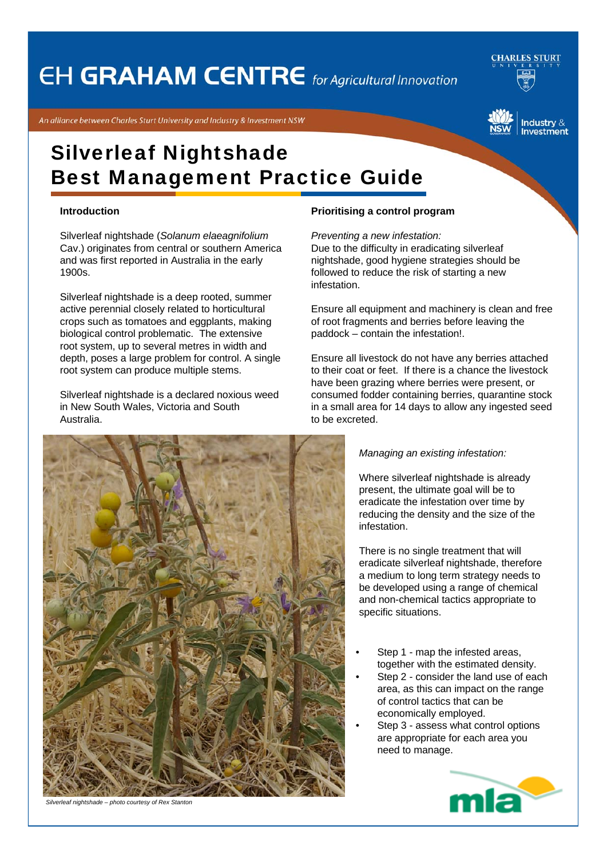# **EH GRAHAM CENTRE** for Agricultural Innovation

**CHARLES STURT** 

An alliance between Charles Sturt University and Industry & Investment NSW



# Silverleaf Nightshade Best Management Practice Guide

### **Introduction**

Silverleaf nightshade (*Solanum elaeagnifolium* Cav.) originates from central or southern America and was first reported in Australia in the early 1900s.

Silverleaf nightshade is a deep rooted, summer active perennial closely related to horticultural crops such as tomatoes and eggplants, making biological control problematic. The extensive root system, up to several metres in width and depth, poses a large problem for control. A single root system can produce multiple stems.

Silverleaf nightshade is a declared noxious weed in New South Wales, Victoria and South Australia.



*Preventing a new infestation:*

Due to the difficulty in eradicating silverleaf nightshade, good hygiene strategies should be followed to reduce the risk of starting a new infestation.

Ensure all equipment and machinery is clean and free of root fragments and berries before leaving the paddock – contain the infestation!.

Ensure all livestock do not have any berries attached to their coat or feet. If there is a chance the livestock have been grazing where berries were present, or consumed fodder containing berries, quarantine stock in a small area for 14 days to allow any ingested seed to be excreted.

### *Managing an existing infestation:*

Where silverleaf nightshade is already present, the ultimate goal will be to eradicate the infestation over time by reducing the density and the size of the infestation.

There is no single treatment that will eradicate silverleaf nightshade, therefore a medium to long term strategy needs to be developed using a range of chemical and non-chemical tactics appropriate to specific situations.

- Step 1 map the infested areas, together with the estimated density.
- Step 2 consider the land use of each area, as this can impact on the range of control tactics that can be economically employed.
- Step 3 assess what control options are appropriate for each area you need to manage.





*Silverleaf nightshade – photo courtesy of Rex Stanton*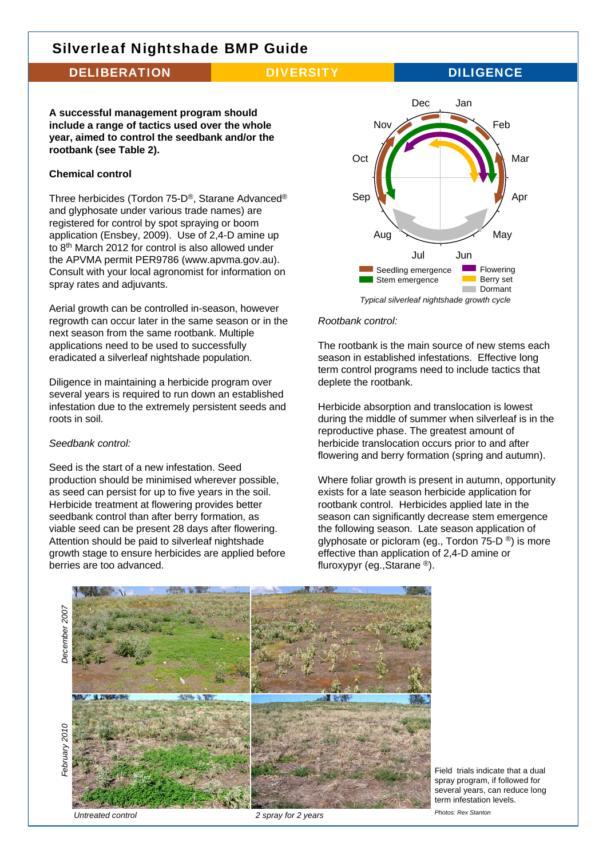### DELIBERATION DIVERSITY DILIGENCE

**A successful management program should include a range of tactics used over the whole year, aimed to control the seedbank and/or the rootbank (see Table 2).** 

### **Chemical control**

Three herbicides (Tordon 75-D®, Starane Advanced® and glyphosate under various trade names) are registered for control by spot spraying or boom application (Ensbey, 2009). Use of 2,4-D amine up to 8th March 2012 for control is also allowed under the APVMA permit PER9786 (www.apvma.gov.au). Consult with your local agronomist for information on spray rates and adjuvants.

Aerial growth can be controlled in-season, however regrowth can occur later in the same season or in the next season from the same rootbank. Multiple applications need to be used to successfully eradicated a silverleaf nightshade population.

Diligence in maintaining a herbicide program over several years is required to run down an established infestation due to the extremely persistent seeds and roots in soil.

### *Seedbank control:*

Seed is the start of a new infestation. Seed production should be minimised wherever possible, as seed can persist for up to five years in the soil. Herbicide treatment at flowering provides better seedbank control than after berry formation, as viable seed can be present 28 days after flowering. Attention should be paid to silverleaf nightshade growth stage to ensure herbicides are applied before berries are too advanced.



### *Rootbank control:*

The rootbank is the main source of new stems each season in established infestations. Effective long term control programs need to include tactics that deplete the rootbank.

Herbicide absorption and translocation is lowest during the middle of summer when silverleaf is in the reproductive phase. The greatest amount of herbicide translocation occurs prior to and after flowering and berry formation (spring and autumn).

Where foliar growth is present in autumn, opportunity exists for a late season herbicide application for rootbank control. Herbicides applied late in the season can significantly decrease stem emergence the following season. Late season application of glyphosate or picloram (eg., Tordon 75-D ®) is more effective than application of 2,4-D amine or fluroxypyr (eg.,Starane ®).



Field trials indicate that a dual spray program, if followed for several vears, can reduce long term infestation levels.

*Untreated control 2 spray for 2 years*

*Photos: Rex Stanton*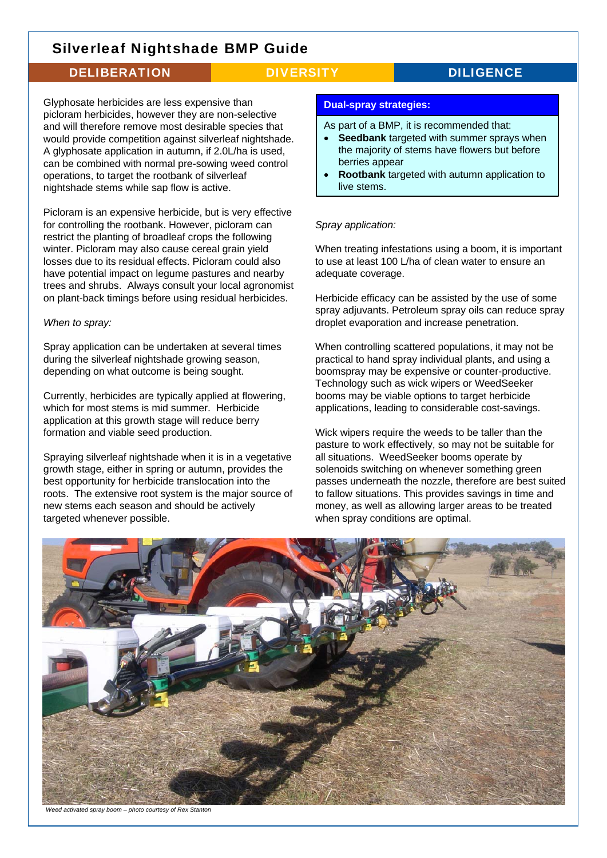## DELIBERATION DIVERSITY DILIGENCE

Glyphosate herbicides are less expensive than picloram herbicides, however they are non-selective and will therefore remove most desirable species that would provide competition against silverleaf nightshade. A glyphosate application in autumn, if 2.0L/ha is used, can be combined with normal pre-sowing weed control operations, to target the rootbank of silverleaf nightshade stems while sap flow is active.

Picloram is an expensive herbicide, but is very effective for controlling the rootbank. However, picloram can restrict the planting of broadleaf crops the following winter. Picloram may also cause cereal grain yield losses due to its residual effects. Picloram could also have potential impact on legume pastures and nearby trees and shrubs. Always consult your local agronomist on plant-back timings before using residual herbicides.

### *When to spray:*

Spray application can be undertaken at several times during the silverleaf nightshade growing season, depending on what outcome is being sought.

Currently, herbicides are typically applied at flowering, which for most stems is mid summer. Herbicide application at this growth stage will reduce berry formation and viable seed production.

Spraying silverleaf nightshade when it is in a vegetative growth stage, either in spring or autumn, provides the best opportunity for herbicide translocation into the roots. The extensive root system is the major source of new stems each season and should be actively targeted whenever possible.

### **Dual-spray strategies:**

As part of a BMP, it is recommended that:

- **Seedbank** targeted with summer sprays when the majority of stems have flowers but before berries appear
- **Rootbank** targeted with autumn application to live stems.

### *Spray application:*

When treating infestations using a boom, it is important to use at least 100 L/ha of clean water to ensure an adequate coverage.

Herbicide efficacy can be assisted by the use of some spray adjuvants. Petroleum spray oils can reduce spray droplet evaporation and increase penetration.

When controlling scattered populations, it may not be practical to hand spray individual plants, and using a boomspray may be expensive or counter-productive. Technology such as wick wipers or WeedSeeker booms may be viable options to target herbicide applications, leading to considerable cost-savings.

Wick wipers require the weeds to be taller than the pasture to work effectively, so may not be suitable for all situations. WeedSeeker booms operate by solenoids switching on whenever something green passes underneath the nozzle, therefore are best suited to fallow situations. This provides savings in time and money, as well as allowing larger areas to be treated when spray conditions are optimal.



*Weed activated spray boom – photo courtesy of Rex Stanton*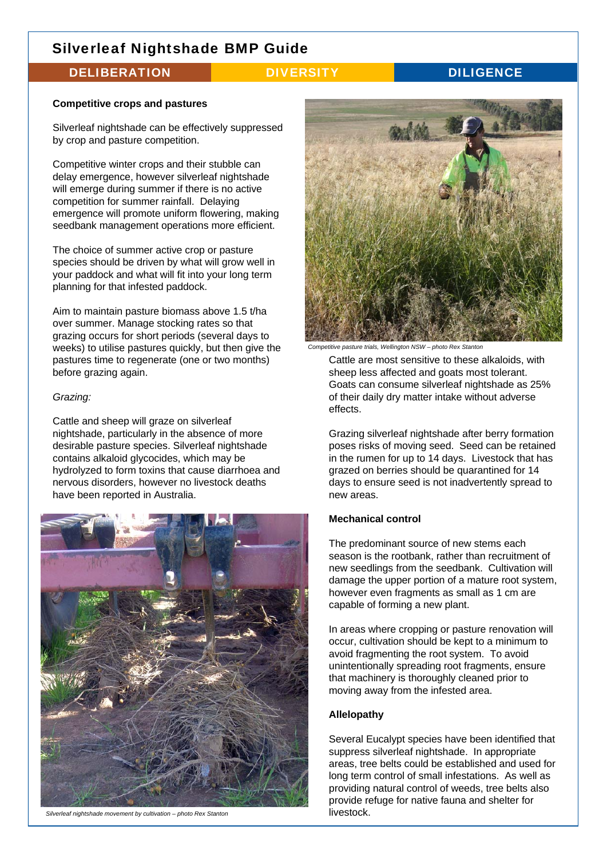## DELIBERATION DIVERSITY DILIGENCE

### **Competitive crops and pastures**

Silverleaf nightshade can be effectively suppressed by crop and pasture competition.

Competitive winter crops and their stubble can delay emergence, however silverleaf nightshade will emerge during summer if there is no active competition for summer rainfall. Delaying emergence will promote uniform flowering, making seedbank management operations more efficient.

The choice of summer active crop or pasture species should be driven by what will grow well in your paddock and what will fit into your long term planning for that infested paddock.

Aim to maintain pasture biomass above 1.5 t/ha over summer. Manage stocking rates so that grazing occurs for short periods (several days to weeks) to utilise pastures quickly, but then give the pastures time to regenerate (one or two months) before grazing again.

### *Grazing:*

Cattle and sheep will graze on silverleaf nightshade, particularly in the absence of more desirable pasture species. Silverleaf nightshade contains alkaloid glycocides, which may be hydrolyzed to form toxins that cause diarrhoea and nervous disorders, however no livestock deaths have been reported in Australia.



Silverleaf nightshade movement by cultivation – photo Rex Stanton<br>
livestock.



*Competitive pasture trials, Wellington NSW – photo Rex Stanton*

Cattle are most sensitive to these alkaloids, with sheep less affected and goats most tolerant. Goats can consume silverleaf nightshade as 25% of their daily dry matter intake without adverse effects.

Grazing silverleaf nightshade after berry formation poses risks of moving seed. Seed can be retained in the rumen for up to 14 days. Livestock that has grazed on berries should be quarantined for 14 days to ensure seed is not inadvertently spread to new areas.

### **Mechanical control**

The predominant source of new stems each season is the rootbank, rather than recruitment of new seedlings from the seedbank. Cultivation will damage the upper portion of a mature root system, however even fragments as small as 1 cm are capable of forming a new plant.

In areas where cropping or pasture renovation will occur, cultivation should be kept to a minimum to avoid fragmenting the root system. To avoid unintentionally spreading root fragments, ensure that machinery is thoroughly cleaned prior to moving away from the infested area.

### **Allelopathy**

Several Eucalypt species have been identified that suppress silverleaf nightshade. In appropriate areas, tree belts could be established and used for long term control of small infestations. As well as providing natural control of weeds, tree belts also provide refuge for native fauna and shelter for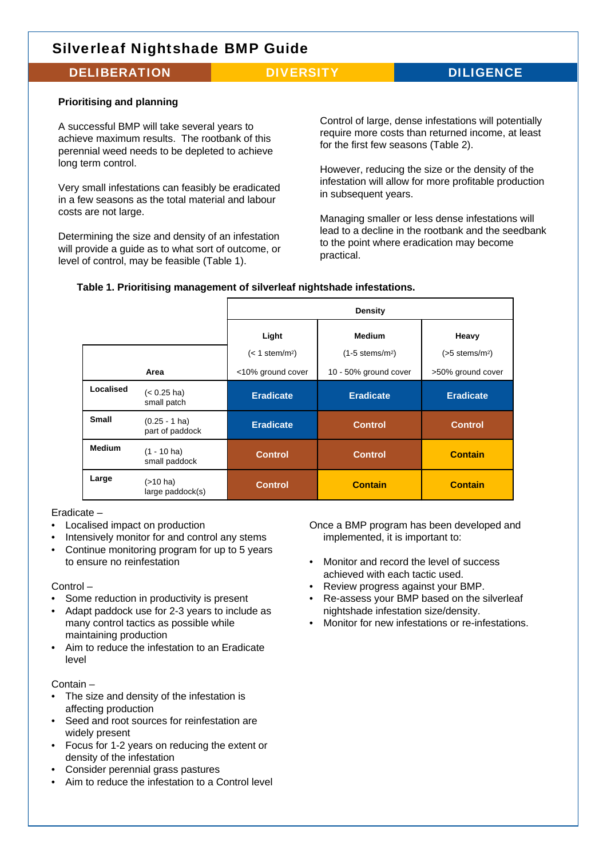### DELIBERATION DIVERSITY DILIGENCE

### **Prioritising and planning**

A successful BMP will take several years to achieve maximum results. The rootbank of this perennial weed needs to be depleted to achieve long term control.

Very small infestations can feasibly be eradicated in a few seasons as the total material and labour costs are not large.

Determining the size and density of an infestation will provide a quide as to what sort of outcome, or level of control, may be feasible (Table 1).

Control of large, dense infestations will potentially require more costs than returned income, at least for the first few seasons (Table 2).

However, reducing the size or the density of the infestation will allow for more profitable production in subsequent years.

Managing smaller or less dense infestations will lead to a decline in the rootbank and the seedbank to the point where eradication may become practical.

### **Table 1. Prioritising management of silverleaf nightshade infestations.**

|               |                                     | Density                               |                                                |                                       |
|---------------|-------------------------------------|---------------------------------------|------------------------------------------------|---------------------------------------|
|               |                                     | Light<br>$(< 1$ stem/m <sup>2</sup> ) | <b>Medium</b><br>$(1-5$ stems/m <sup>2</sup> ) | Heavy<br>$(>5$ stems/m <sup>2</sup> ) |
|               | Area                                | <10% ground cover                     | 10 - 50% ground cover                          | >50% ground cover                     |
| Localised     | $(< 0.25$ ha)<br>small patch        | <b>Eradicate</b>                      | <b>Eradicate</b>                               | <b>Eradicate</b>                      |
| <b>Small</b>  | $(0.25 - 1)$ ha)<br>part of paddock | <b>Eradicate</b>                      | <b>Control</b>                                 | <b>Control</b>                        |
| <b>Medium</b> | $(1 - 10$ ha)<br>small paddock      | <b>Control</b>                        | <b>Control</b>                                 | <b>Contain</b>                        |
| Large         | (>10 ha)<br>large paddock(s)        | <b>Control</b>                        | <b>Contain</b>                                 | <b>Contain</b>                        |

### Eradicate –

- Localised impact on production
- Intensively monitor for and control any stems
- Continue monitoring program for up to 5 years to ensure no reinfestation

Control –

- Some reduction in productivity is present
- Adapt paddock use for 2-3 years to include as many control tactics as possible while maintaining production
- Aim to reduce the infestation to an Eradicate level

Contain –

- The size and density of the infestation is affecting production
- Seed and root sources for reinfestation are widely present
- Focus for 1-2 years on reducing the extent or density of the infestation
- Consider perennial grass pastures
- Aim to reduce the infestation to a Control level

Once a BMP program has been developed and implemented, it is important to:

- Monitor and record the level of success achieved with each tactic used.
- Review progress against your BMP.
- Re-assess your BMP based on the silverleaf nightshade infestation size/density.
- Monitor for new infestations or re-infestations.